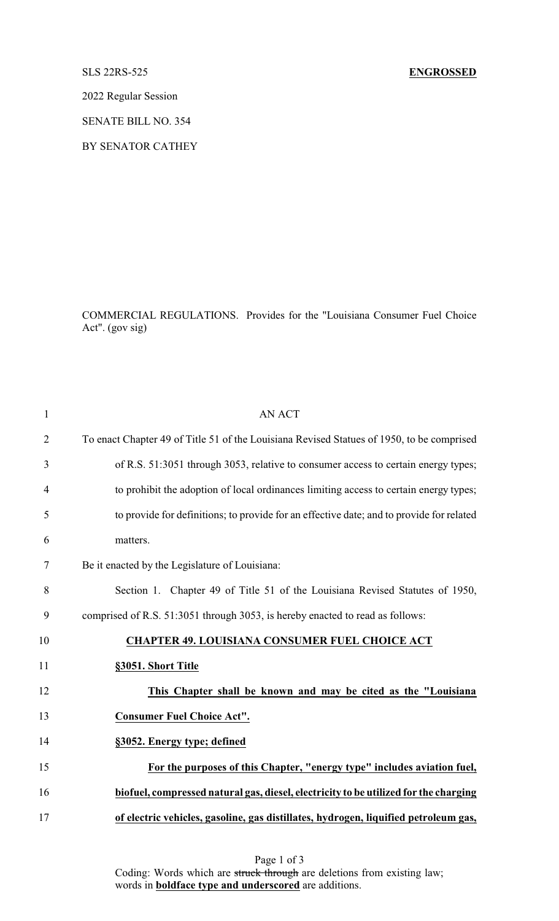## SLS 22RS-525 **ENGROSSED**

2022 Regular Session

SENATE BILL NO. 354

BY SENATOR CATHEY

COMMERCIAL REGULATIONS. Provides for the "Louisiana Consumer Fuel Choice Act". (gov sig)

| $\mathbf{1}$   | <b>AN ACT</b>                                                                             |
|----------------|-------------------------------------------------------------------------------------------|
| $\overline{2}$ | To enact Chapter 49 of Title 51 of the Louisiana Revised Statues of 1950, to be comprised |
| 3              | of R.S. 51:3051 through 3053, relative to consumer access to certain energy types;        |
| 4              | to prohibit the adoption of local ordinances limiting access to certain energy types;     |
| 5              | to provide for definitions; to provide for an effective date; and to provide for related  |
| 6              | matters.                                                                                  |
| 7              | Be it enacted by the Legislature of Louisiana:                                            |
| 8              | Section 1. Chapter 49 of Title 51 of the Louisiana Revised Statutes of 1950,              |
| 9              | comprised of R.S. 51:3051 through 3053, is hereby enacted to read as follows:             |
| 10             | <b>CHAPTER 49. LOUISIANA CONSUMER FUEL CHOICE ACT</b>                                     |
| 11             | §3051. Short Title                                                                        |
| 12             | This Chapter shall be known and may be cited as the "Louisiana                            |
| 13             | <b>Consumer Fuel Choice Act".</b>                                                         |
| 14             | §3052. Energy type; defined                                                               |
| 15             | For the purposes of this Chapter, "energy type" includes aviation fuel,                   |
| 16             | biofuel, compressed natural gas, diesel, electricity to be utilized for the charging      |
| 17             | of electric vehicles, gasoline, gas distillates, hydrogen, liquified petroleum gas,       |
|                |                                                                                           |

Page 1 of 3 Coding: Words which are struck through are deletions from existing law; words in **boldface type and underscored** are additions.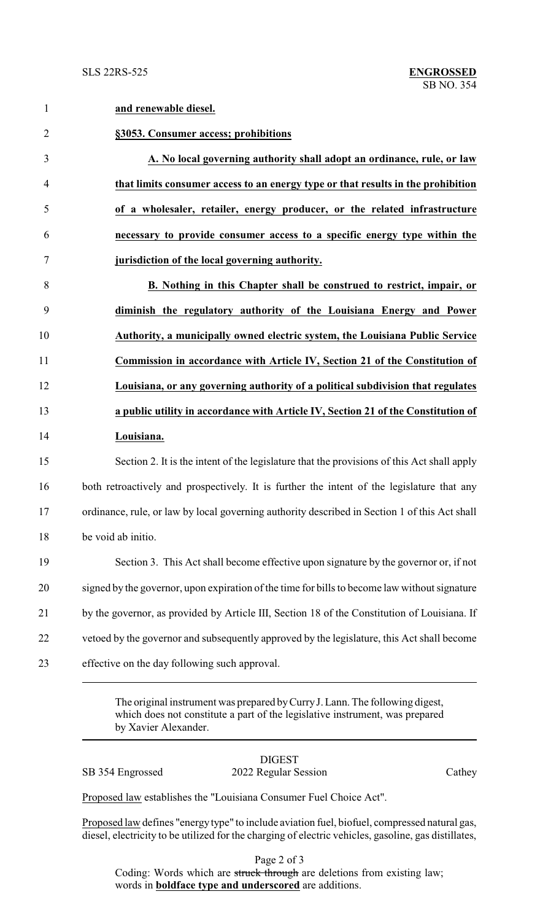**and renewable diesel.**

| $\overline{2}$ | §3053. Consumer access; prohibitions                                                          |
|----------------|-----------------------------------------------------------------------------------------------|
| 3              | A. No local governing authority shall adopt an ordinance, rule, or law                        |
| $\overline{4}$ | that limits consumer access to an energy type or that results in the prohibition              |
| 5              | of a wholesaler, retailer, energy producer, or the related infrastructure                     |
| 6              | necessary to provide consumer access to a specific energy type within the                     |
| $\overline{7}$ | jurisdiction of the local governing authority.                                                |
| 8              | B. Nothing in this Chapter shall be construed to restrict, impair, or                         |
| 9              | diminish the regulatory authority of the Louisiana Energy and Power                           |
| 10             | Authority, a municipally owned electric system, the Louisiana Public Service                  |
| 11             | Commission in accordance with Article IV, Section 21 of the Constitution of                   |
| 12             | Louisiana, or any governing authority of a political subdivision that regulates               |
| 13             | a public utility in accordance with Article IV, Section 21 of the Constitution of             |
| 14             | Louisiana.                                                                                    |
| 15             | Section 2. It is the intent of the legislature that the provisions of this Act shall apply    |
| 16             | both retroactively and prospectively. It is further the intent of the legislature that any    |
| 17             | ordinance, rule, or law by local governing authority described in Section 1 of this Act shall |
| $18\,$         | be void ab initio.                                                                            |
| 19             | Section 3. This Act shall become effective upon signature by the governor or, if not          |
| 20             | signed by the governor, upon expiration of the time for bills to become law without signature |
| 21             | by the governor, as provided by Article III, Section 18 of the Constitution of Louisiana. If  |
| 22             | vetoed by the governor and subsequently approved by the legislature, this Act shall become    |
|                |                                                                                               |

The original instrument was prepared byCurryJ. Lann. The following digest, which does not constitute a part of the legislative instrument, was prepared by Xavier Alexander.

DIGEST SB 354 Engrossed 2022 Regular Session Cathey

Proposed law establishes the "Louisiana Consumer Fuel Choice Act".

Proposed law defines "energy type" to include aviation fuel, biofuel, compressed natural gas, diesel, electricity to be utilized for the charging of electric vehicles, gasoline, gas distillates,

Page 2 of 3 Coding: Words which are struck through are deletions from existing law; words in **boldface type and underscored** are additions.